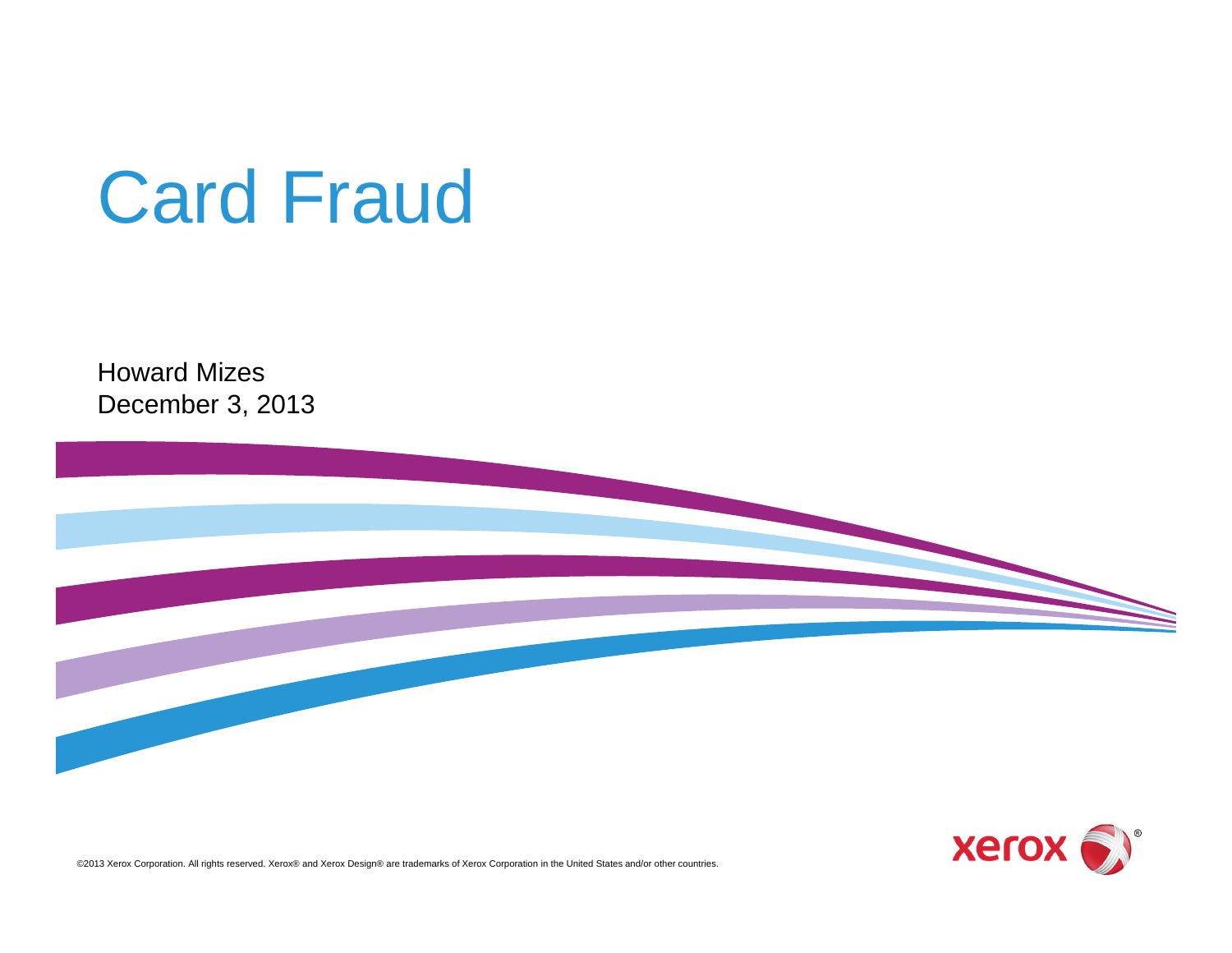# Card Fraud

Howard MizesDecember 3, 2013





©2013 Xerox Corporation. All rights reserved. Xerox® and Xerox Design® are trademarks of Xerox Corporation in the United States and/or other countries.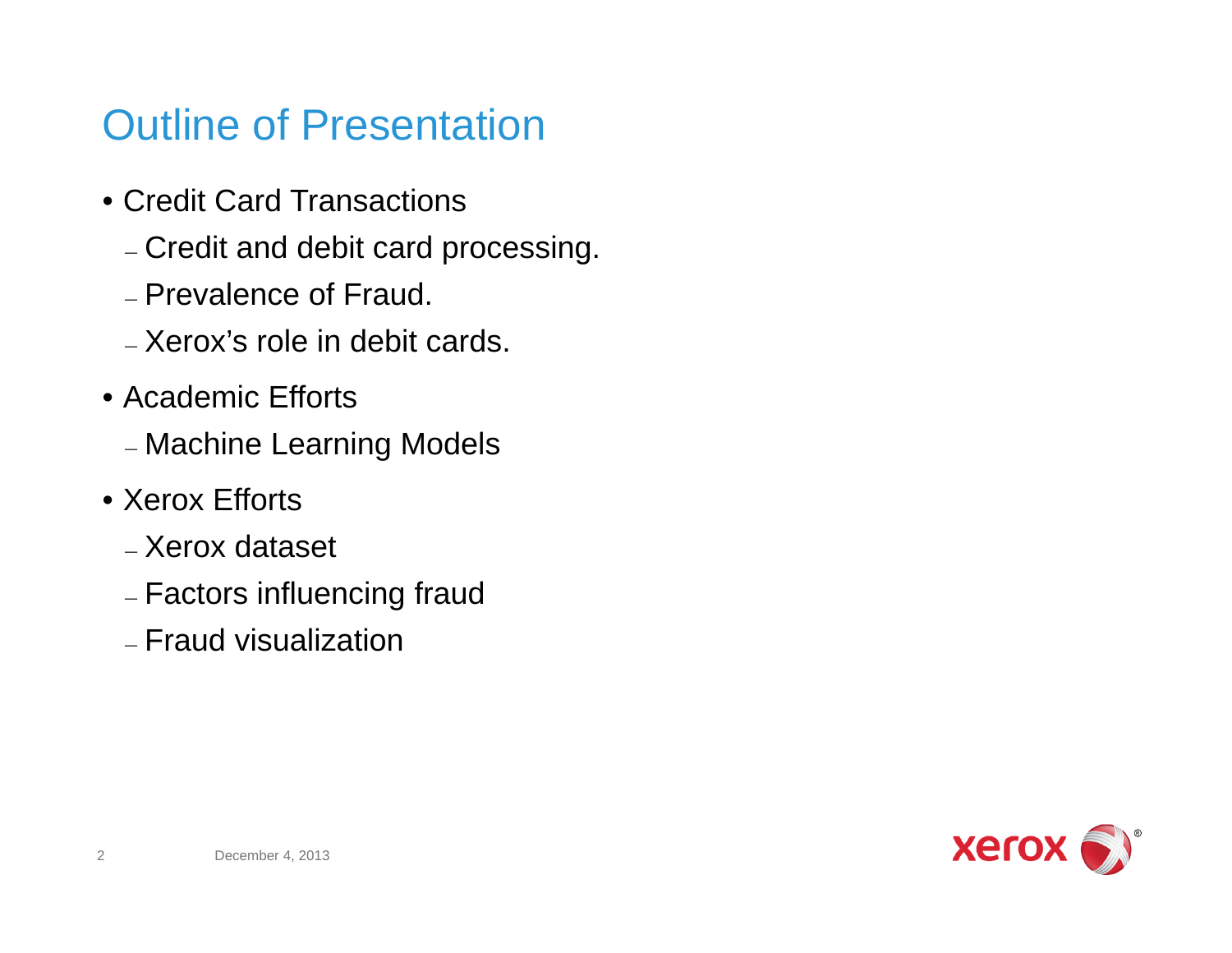### Outline of Presentation

- Credit Card Transactions
	- Credit and debit card processing.
	- Prevalence of Fraud.
	- Xerox's role in debit cards.
- Academic Efforts
	- Machine Learning Models
- Xerox Efforts
	- Xerox dataset
	- Factors influencing fraud
	- Fraud visualization

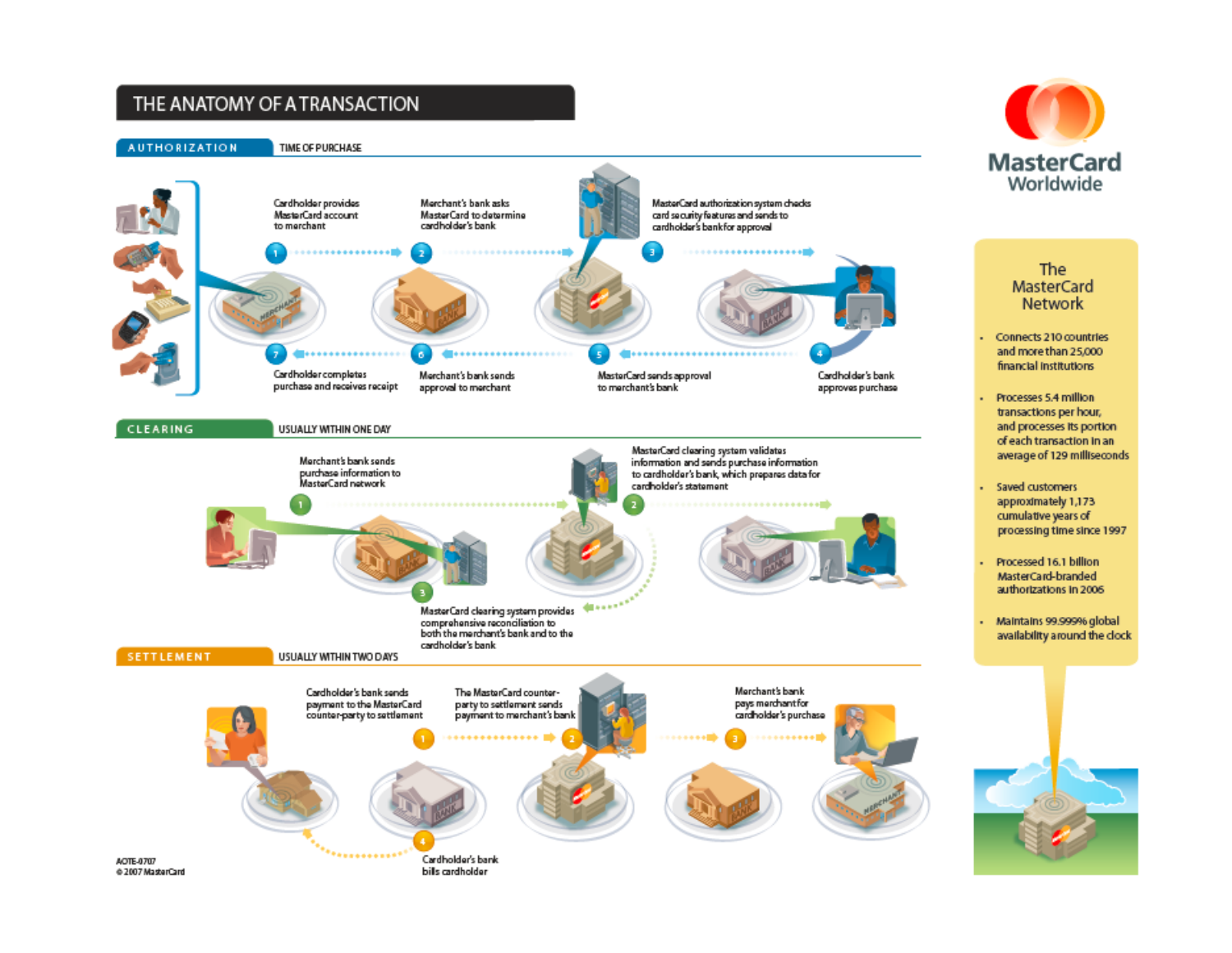#### THE ANATOMY OF A TRANSACTION





The **MasterCard Network** 

- Connects 210 countries ä, and more than 25,000 financial institutions
- Processes 5.4 million transactions per hour, and processes its portion of each transaction in an average of 129 milliseconds
- Saved customers approximately 1,173 cumulative years of processing time since 1997
- Processed 16.1 billion MasterCard-branded authorizations in 2006
- Maintains 99.999% global availability around the clock



@ 2007 MasterCard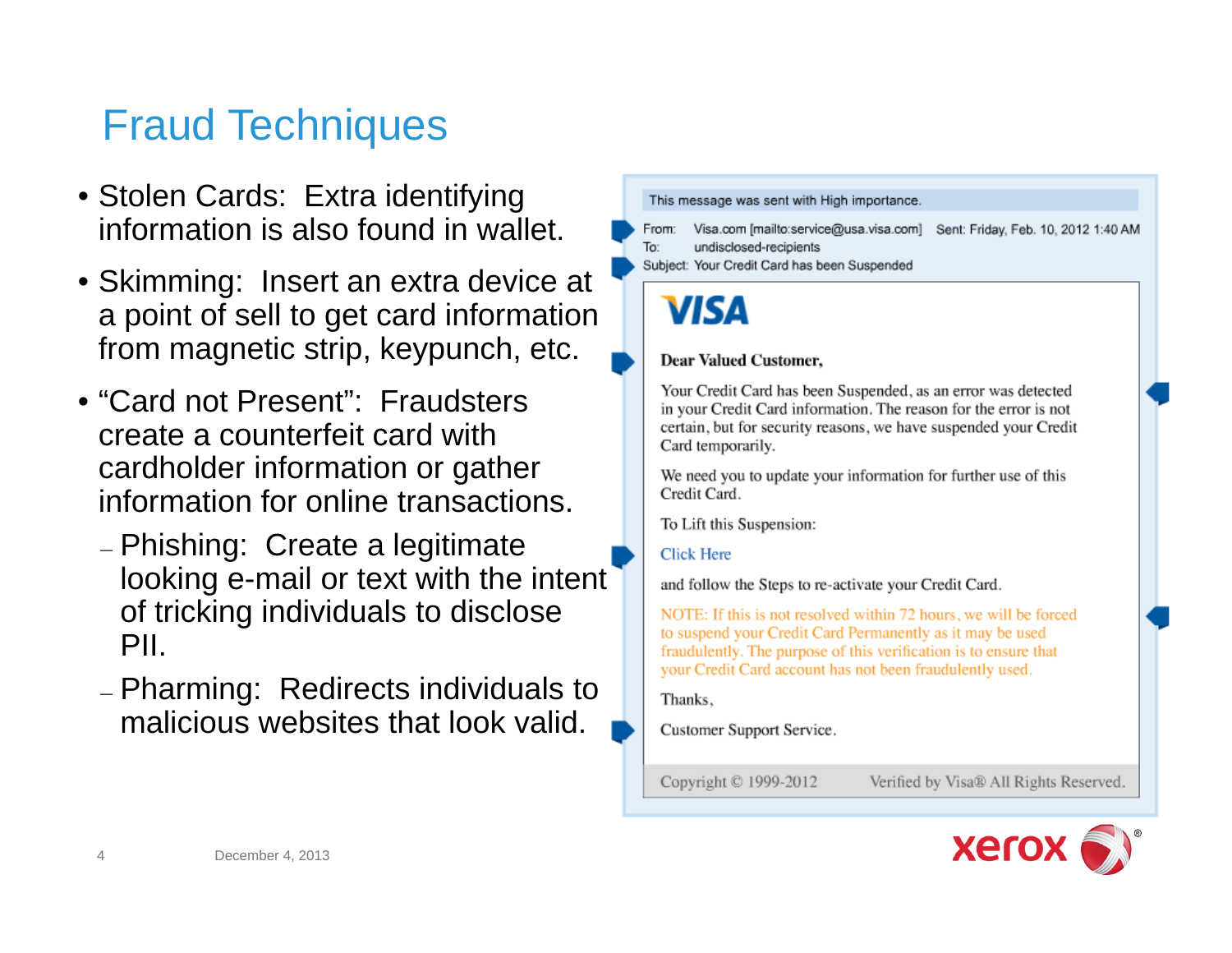### Fraud Techniques

- Stolen Cards: Extra identifying information is also found in wallet.
- Skimming: Insert an extra device at a point of sell to get card information from magnetic strip, keypunch, etc.
- "Card not Present": Fraudsters create a counterfeit card with cardholder information or gather information for online transactions.
	- Phishing: Create a legitimate looking e-mail or text with the intent of tricking individuals to disclose PII.
	- Pharming: Redirects individuals to malicious websites that look valid.

This message was sent with High importance.

Visa.com [mailto:service@usa.visa.com] Sent: Friday, Feb. 10, 2012 1:40 AM From: To: undisclosed-recipients

Subject: Your Credit Card has been Suspended



#### **Dear Valued Customer,**

Your Credit Card has been Suspended, as an error was detected in your Credit Card information. The reason for the error is not certain, but for security reasons, we have suspended your Credit Card temporarily.

We need you to update your information for further use of this Credit Card.

To Lift this Suspension:

#### **Click Here**

and follow the Steps to re-activate your Credit Card.

NOTE: If this is not resolved within 72 hours, we will be forced to suspend your Credit Card Permanently as it may be used fraudulently. The purpose of this verification is to ensure that your Credit Card account has not been fraudulently used.

Thanks,

Customer Support Service.

Copyright © 1999-2012

Verified by Visa® All Rights Reserved.

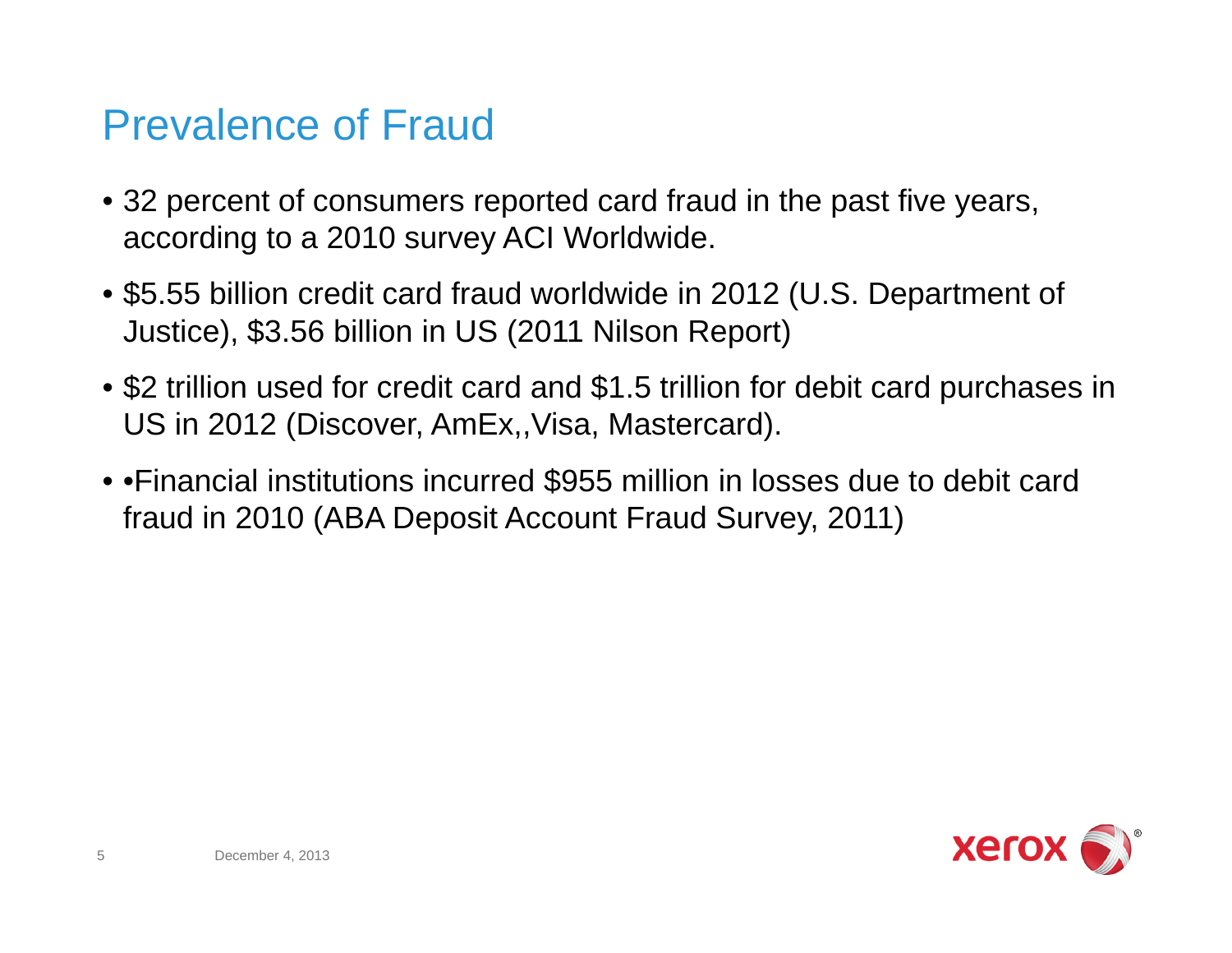### Prevalence of Fraud

- 32 percent of consumers reported card fraud in the past five years, according to a 2010 survey ACI Worldwide.
- \$5.55 billion credit card fraud worldwide in 2012 (U.S. Department of Justice), \$3.56 billion in US (2011 Nilson Report)
- \$2 trillion used for credit card and \$1.5 trillion for debit card purchases in US in 2012 (Discover, AmEx,,Visa, Mastercard).
- •Financial institutions incurred \$955 million in losses due to debit card fraud in 2010 (ABA Deposit Account Fraud Survey, 2011)

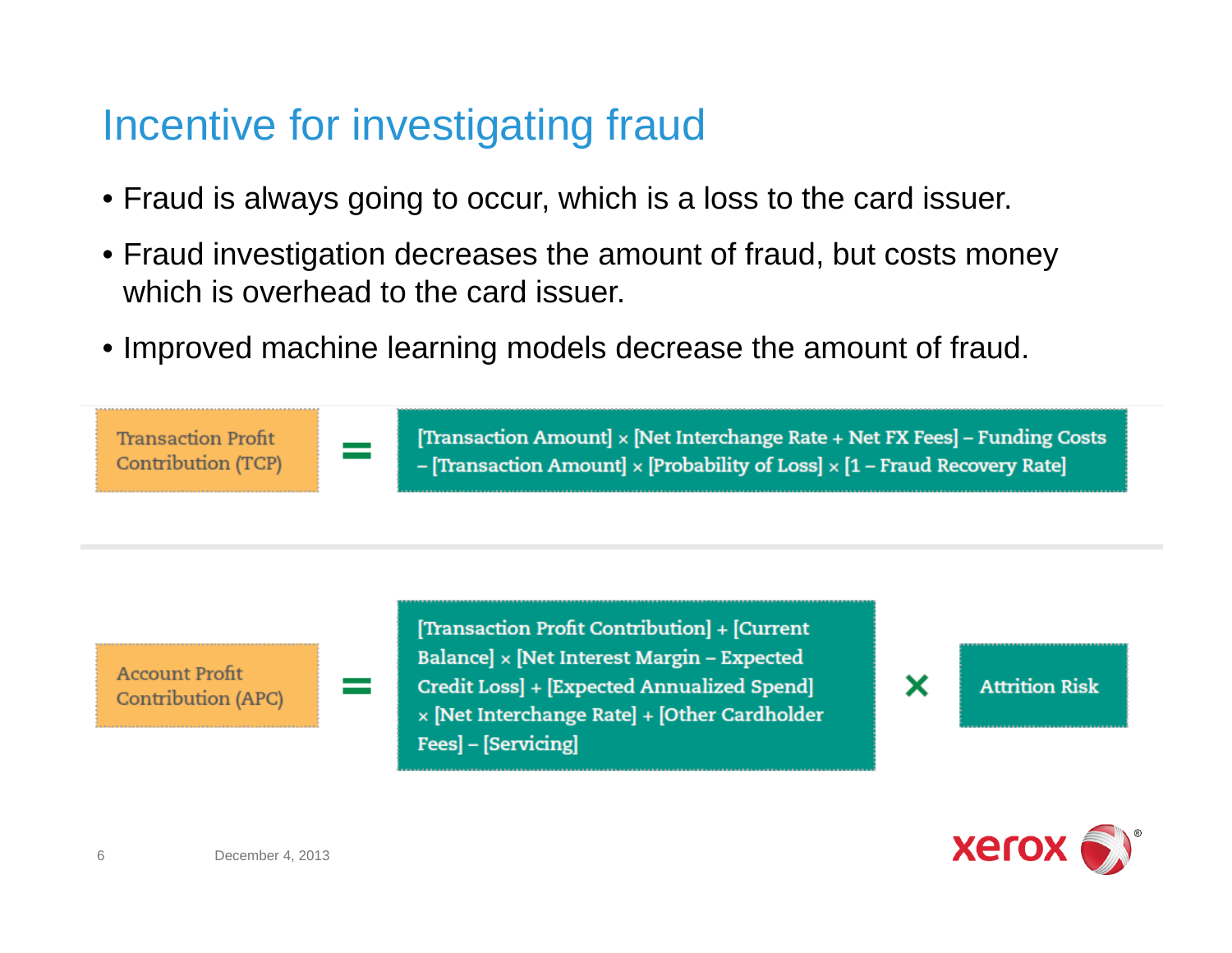### Incentive for investigating fraud

- Fraud is always going to occur, which is a loss to the card issuer.
- Fraud investigation decreases the amount of fraud, but costs money which is overhead to the card issuer.
- Improved machine learning models decrease the amount of fraud.

[Transaction Amount] × [Net Interchange Rate + Net FX Fees] – Funding Costs **Transaction Profit Contribution (TCP)** - [Transaction Amount]  $\times$  [Probability of Loss]  $\times$  [1 – Fraud Recovery Rate]

**Account Profit Contribution (APC)**  [Transaction Profit Contribution] + [Current Balance] x [Net Interest Margin - Expected Credit Loss | + [Expected Annualized Spend] x [Net Interchange Rate] + [Other Cardholder Fees] - [Servicing]

**Attrition Risk** 

×

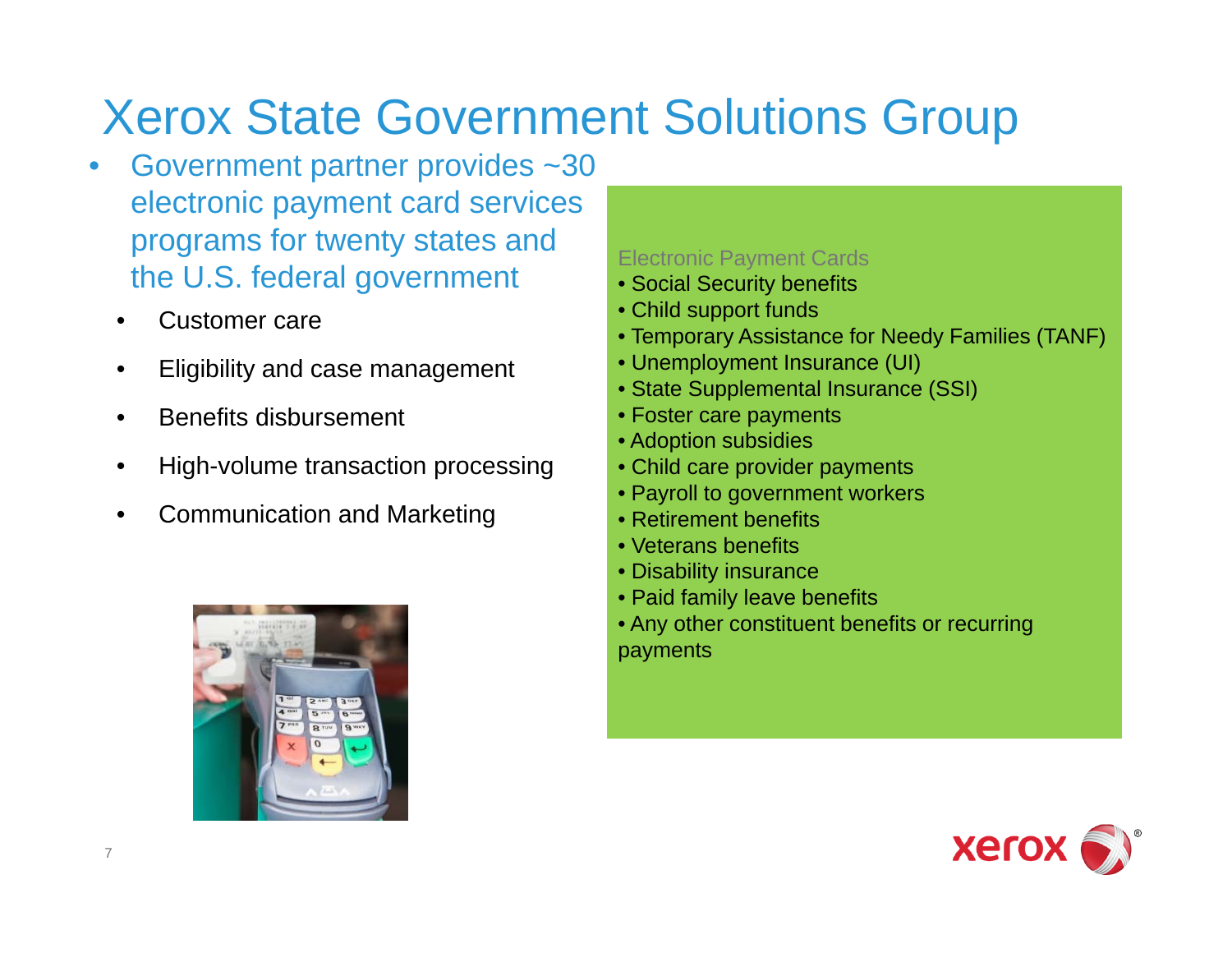# Xerox State Government Solutions Group

- • Government partner provides ~30 electronic payment card services programs for twenty states and the U.S. federal government
	- •Customer care
	- •Eligibility and case management
	- •Benefits disbursement
	- $\bullet$ High-volume transaction processing
	- •Communication and Marketing



#### Electronic Payment Cards

- Social Security benefits
- Child support funds
- Temporary Assistance for Needy Families (TANF)
- Unemployment Insurance (UI)
- State Supplemental Insurance (SSI)
- Foster care payments
- Adoption subsidies
- Child care provider payments
- Payroll to government workers
- Retirement benefits
- Veterans benefits
- Disability insurance
- Paid family leave benefits
- Any other constituent benefits or recurring payments

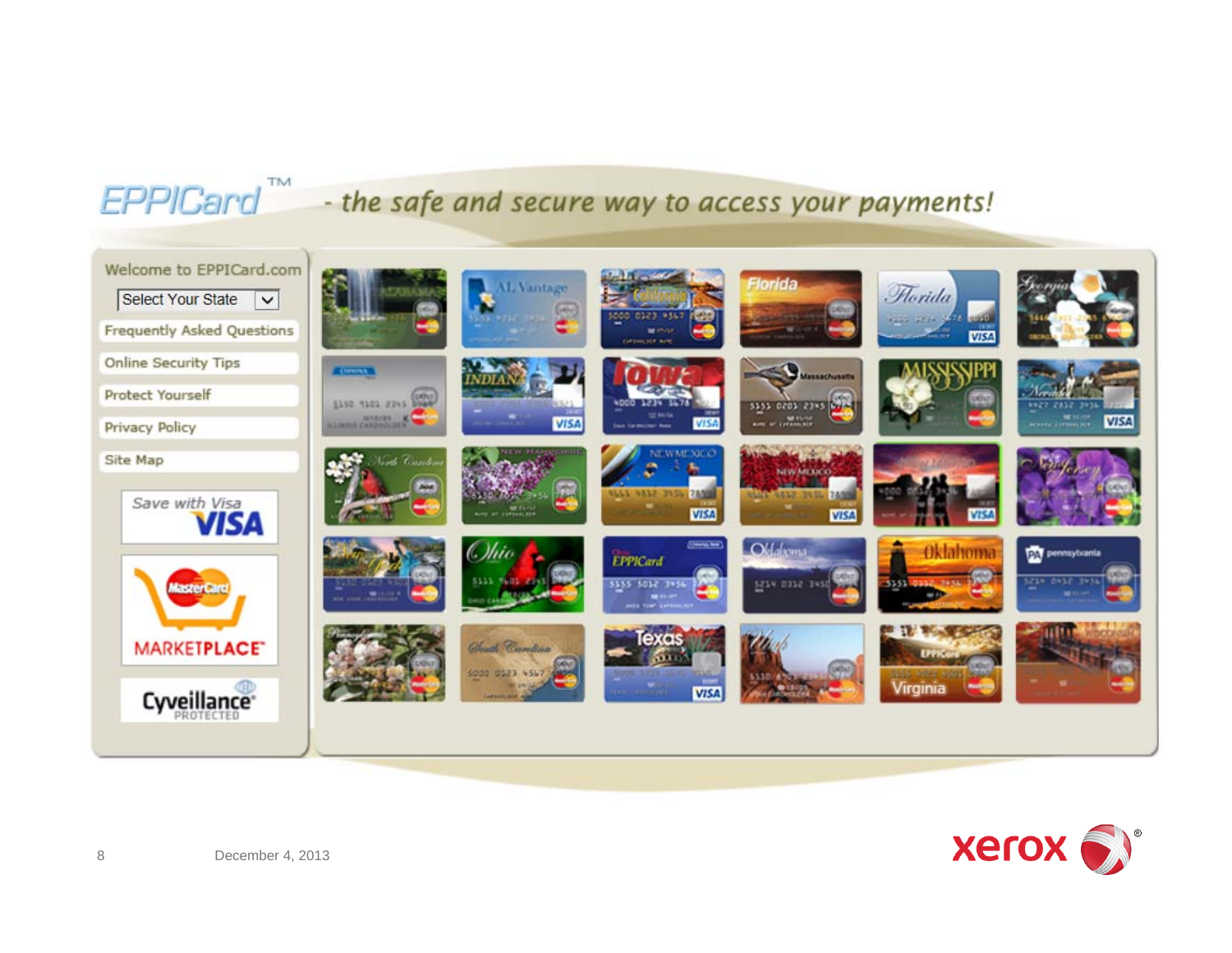### EPPICard<sup>"</sup> - the safe and secure way to access your payments!



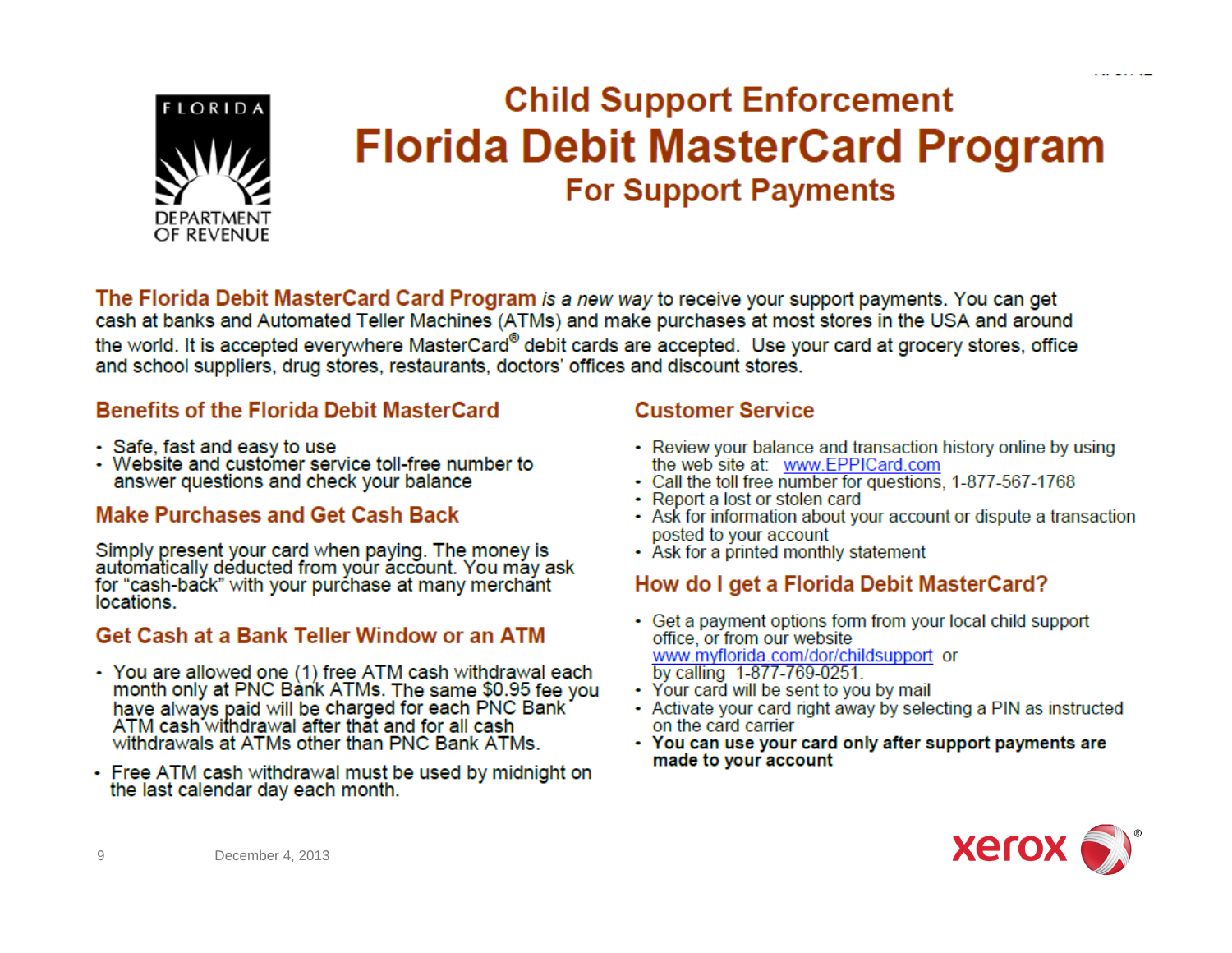

### **Child Support Enforcement Florida Debit MasterCard Program For Support Payments**

The Florida Debit MasterCard Card Program is a new way to receive your support payments. You can get cash at banks and Automated Teller Machines (ATMs) and make purchases at most stores in the USA and around the world. It is accepted everywhere MasterCard® debit cards are accepted. Use your card at grocery stores, office and school suppliers, drug stores, restaurants, doctors' offices and discount stores.

#### **Benefits of the Florida Debit MasterCard**

- Safe, fast and easy to use
- Website and customer service toll-free number to answer questions and check your balance

#### **Make Purchases and Get Cash Back**

Simply present your card when paying. The money is automatically deducted from your account. You may ask for "cash-back" with your purchase at many merchant locations.

#### **Get Cash at a Bank Teller Window or an ATM**

- You are allowed one (1) free ATM cash withdrawal each month only at PNC Bank ATMs. The same \$0.95 fee you have always paid will be charged for each PNC Bank ATM cash withdrawal after that and for all cash withdrawals at ATMs other than PNC Bank ATMs.
- Free ATM cash withdrawal must be used by midnight on the last calendar day each month.

#### **Customer Service**

- Review your balance and transaction history online by using the web site at: www.EPPICard.com
- Call the toll free number for questions, 1-877-567-1768
- Report a lost or stolen card
- Ask for information about your account or dispute a transaction posted to your account
- Ask for a printed monthly statement

#### How do I get a Florida Debit MasterCard?

- Get a payment options form from your local child support office, or from our website www.myflorida.com/dor/childsupport\_or by calling 1-877-769-0251.
- Your card will be sent to you by mail
- Activate your card right away by selecting a PIN as instructed on the card carrier
- You can use your card only after support payments are made to your account



9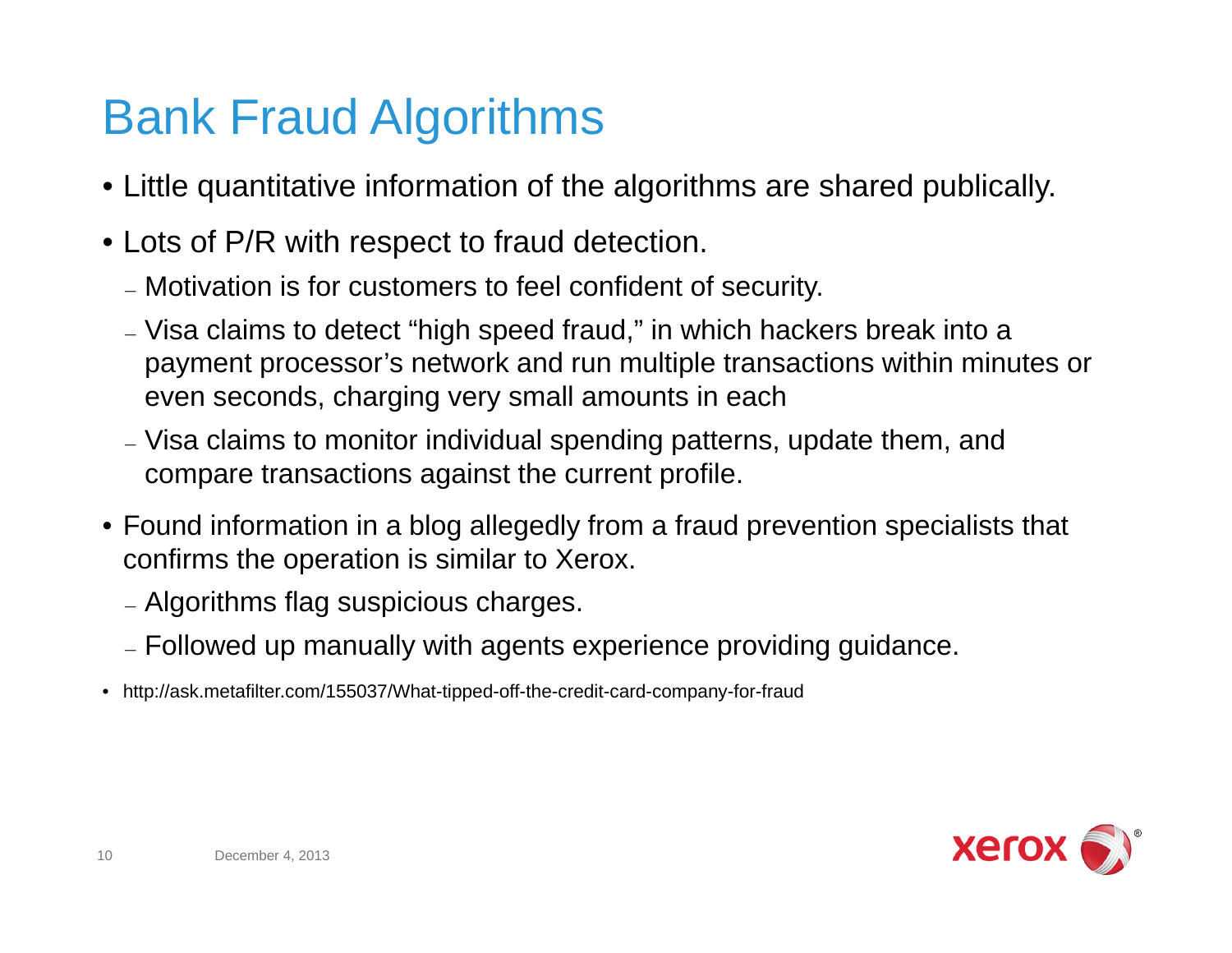# Bank Fraud Algorithms

- Little quantitative information of the algorithms are shared publically.
- Lots of P/R with respect to fraud detection.
	- Motivation is for customers to feel confident of security.
	- Visa claims to detect "high speed fraud," in which hackers break into a payment processor's network and run multiple transactions within minutes or even seconds, charging very small amounts in each
	- Visa claims to monitor individual spending patterns, update them, and compare transactions against the current profile.
- Found information in a blog allegedly from a fraud prevention specialists that confirms the operation is similar to Xerox.
	- Algorithms flag suspicious charges.
	- Followed up manually with agents experience providing guidance.
- http://ask.metafilter.com/155037/What-tipped-off-the-credit-card-company-for-fraud

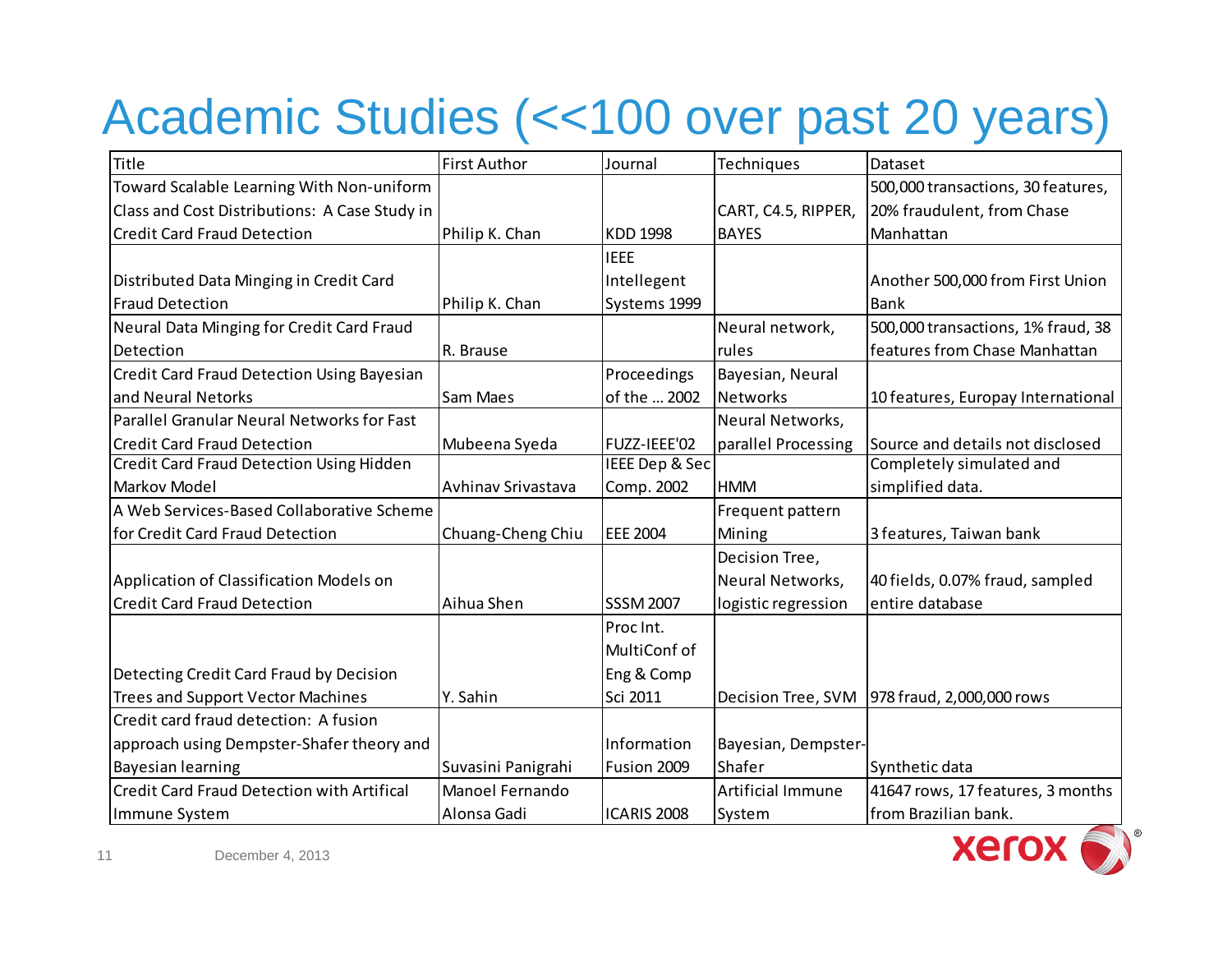# Academic Studies (<<100 over past 20 years)

| Title                                             | <b>First Author</b> | Journal          | Techniques          | Dataset                            |
|---------------------------------------------------|---------------------|------------------|---------------------|------------------------------------|
| Toward Scalable Learning With Non-uniform         |                     |                  |                     | 500,000 transactions, 30 features, |
| Class and Cost Distributions: A Case Study in     |                     |                  | CART, C4.5, RIPPER, | 20% fraudulent, from Chase         |
| <b>Credit Card Fraud Detection</b>                | Philip K. Chan      | KDD 1998         | <b>BAYES</b>        | Manhattan                          |
|                                                   |                     | <b>IEEE</b>      |                     |                                    |
| Distributed Data Minging in Credit Card           |                     | Intellegent      |                     | Another 500,000 from First Union   |
| <b>Fraud Detection</b>                            | Philip K. Chan      | Systems 1999     |                     | <b>Bank</b>                        |
| Neural Data Minging for Credit Card Fraud         |                     |                  | Neural network,     | 500,000 transactions, 1% fraud, 38 |
| Detection                                         | R. Brause           |                  | rules               | features from Chase Manhattan      |
| <b>Credit Card Fraud Detection Using Bayesian</b> |                     | Proceedings      | Bayesian, Neural    |                                    |
| and Neural Netorks                                | Sam Maes            | of the  2002     | Networks            | 10 features, Europay International |
| Parallel Granular Neural Networks for Fast        |                     |                  | Neural Networks,    |                                    |
| <b>Credit Card Fraud Detection</b>                | Mubeena Syeda       | FUZZ-IEEE'02     | parallel Processing | Source and details not disclosed   |
| <b>Credit Card Fraud Detection Using Hidden</b>   |                     | IEEE Dep & Sec   |                     | Completely simulated and           |
| Markov Model                                      | Avhinav Srivastava  | Comp. 2002       | <b>HMM</b>          | simplified data.                   |
| A Web Services-Based Collaborative Scheme         |                     |                  | Frequent pattern    |                                    |
| for Credit Card Fraud Detection                   | Chuang-Cheng Chiu   | <b>EEE 2004</b>  | Mining              | 3 features, Taiwan bank            |
|                                                   |                     |                  | Decision Tree,      |                                    |
| Application of Classification Models on           |                     |                  | Neural Networks,    | 40 fields, 0.07% fraud, sampled    |
| <b>Credit Card Fraud Detection</b>                | Aihua Shen          | <b>SSSM 2007</b> | logistic regression | entire database                    |
|                                                   |                     | Proc Int.        |                     |                                    |
|                                                   |                     | MultiConf of     |                     |                                    |
| Detecting Credit Card Fraud by Decision           |                     | Eng & Comp       |                     |                                    |
| <b>Trees and Support Vector Machines</b>          | Y. Sahin            | Sci 2011         | Decision Tree, SVM  | 978 fraud, 2,000,000 rows          |
| Credit card fraud detection: A fusion             |                     |                  |                     |                                    |
| approach using Dempster-Shafer theory and         |                     | Information      | Bayesian, Dempster- |                                    |
| <b>Bayesian learning</b>                          | Suvasini Panigrahi  | Fusion 2009      | Shafer              | Synthetic data                     |
| <b>Credit Card Fraud Detection with Artifical</b> | Manoel Fernando     |                  | Artificial Immune   | 41647 rows, 17 features, 3 months  |
| Immune System                                     | Alonsa Gadi         | ICARIS 2008      | System              | from Brazilian bank.               |

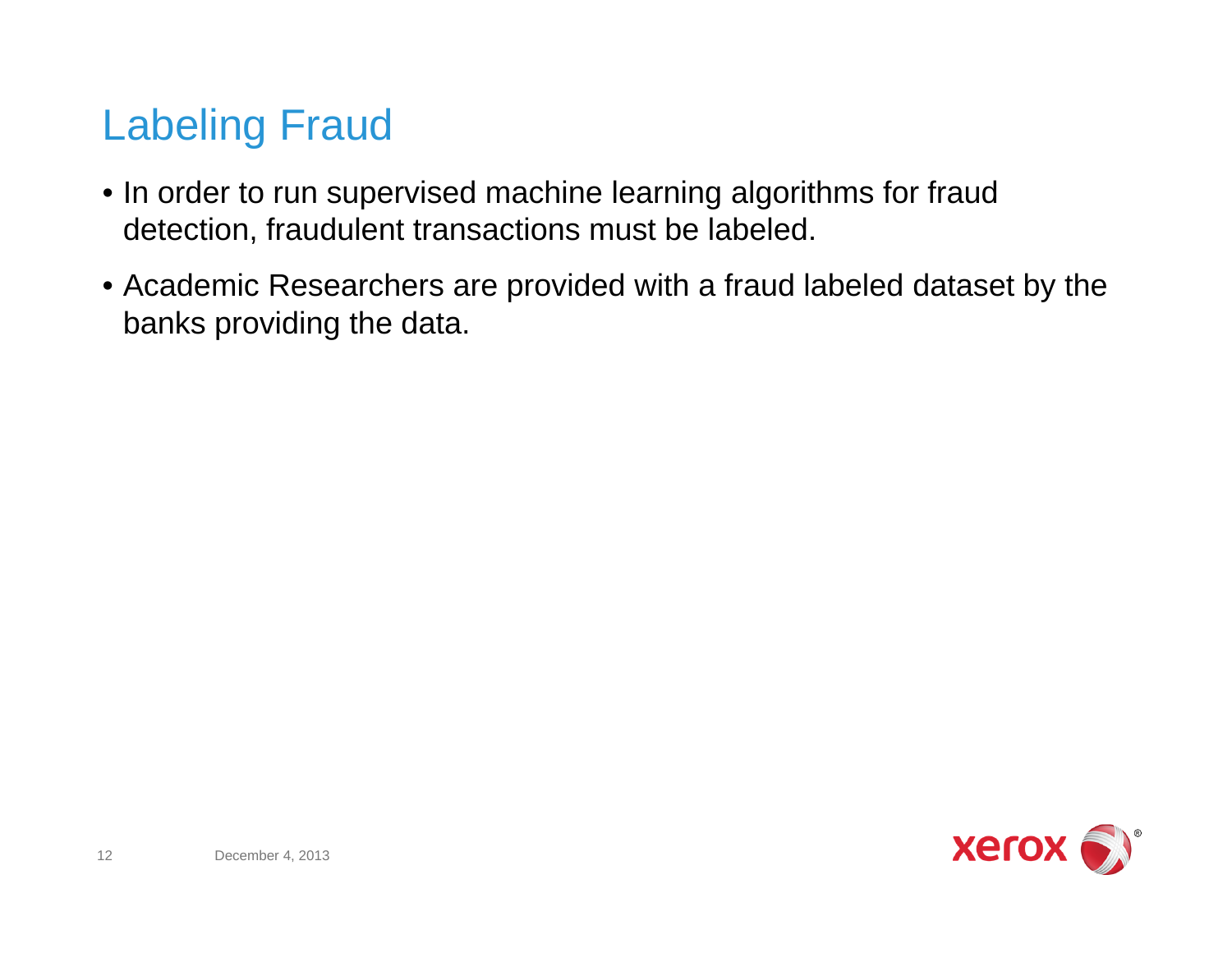### Labeling Fraud

- In order to run supervised machine learning algorithms for fraud detection, fraudulent transactions must be labeled.
- Academic Researchers are provided with a fraud labeled dataset by the banks providing the data.

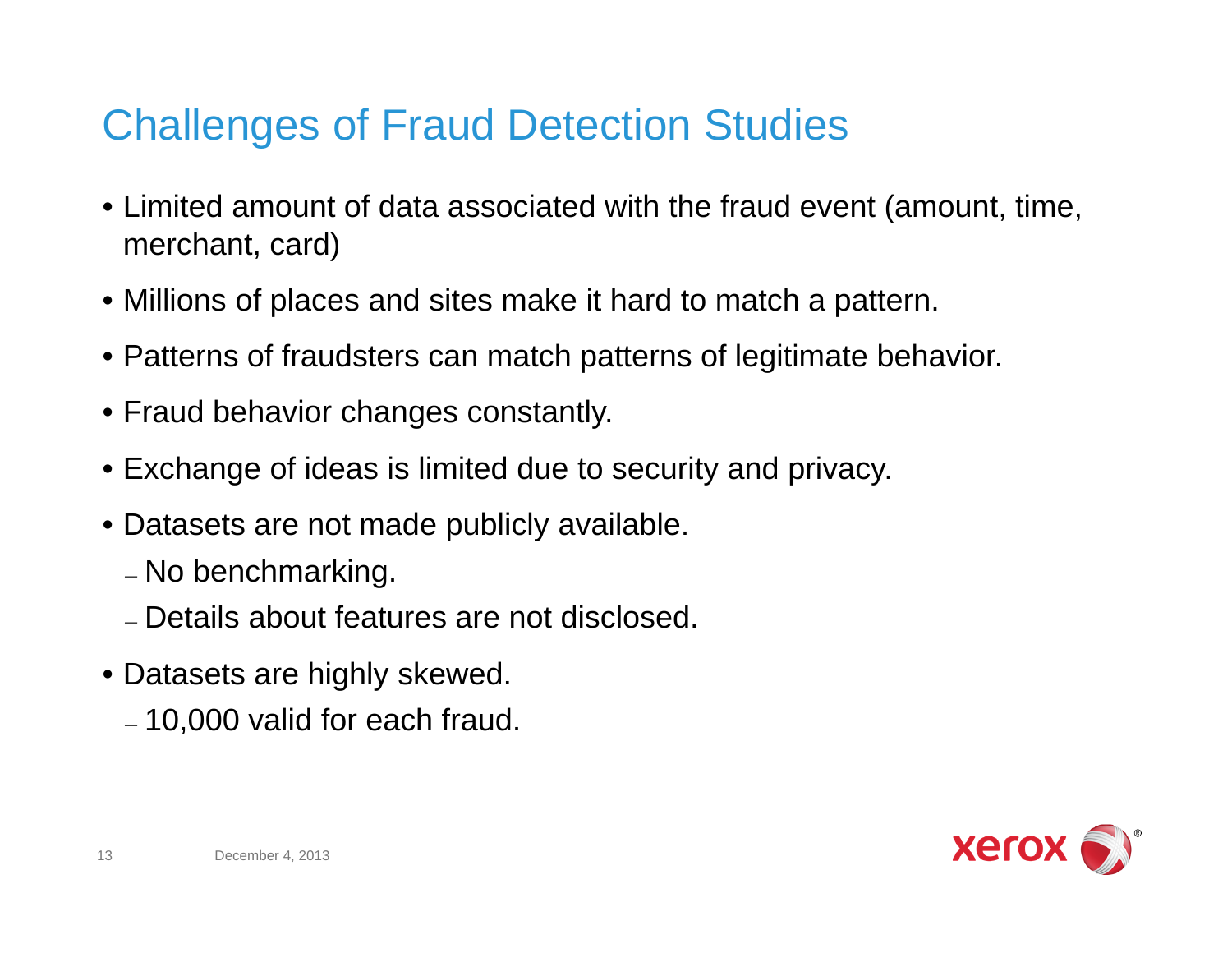### Challenges of Fraud Detection Studies

- Limited amount of data associated with the fraud event (amount, time, merchant, card)
- Millions of places and sites make it hard to match a pattern.
- Patterns of fraudsters can match patterns of legitimate behavior.
- Fraud behavior changes constantly.
- Exchange of ideas is limited due to security and privacy.
- Datasets are not made publicly available.
	- No benchmarking.
	- Details about features are not disclosed.
- Datasets are highly skewed.
	- 10,000 valid for each fraud.

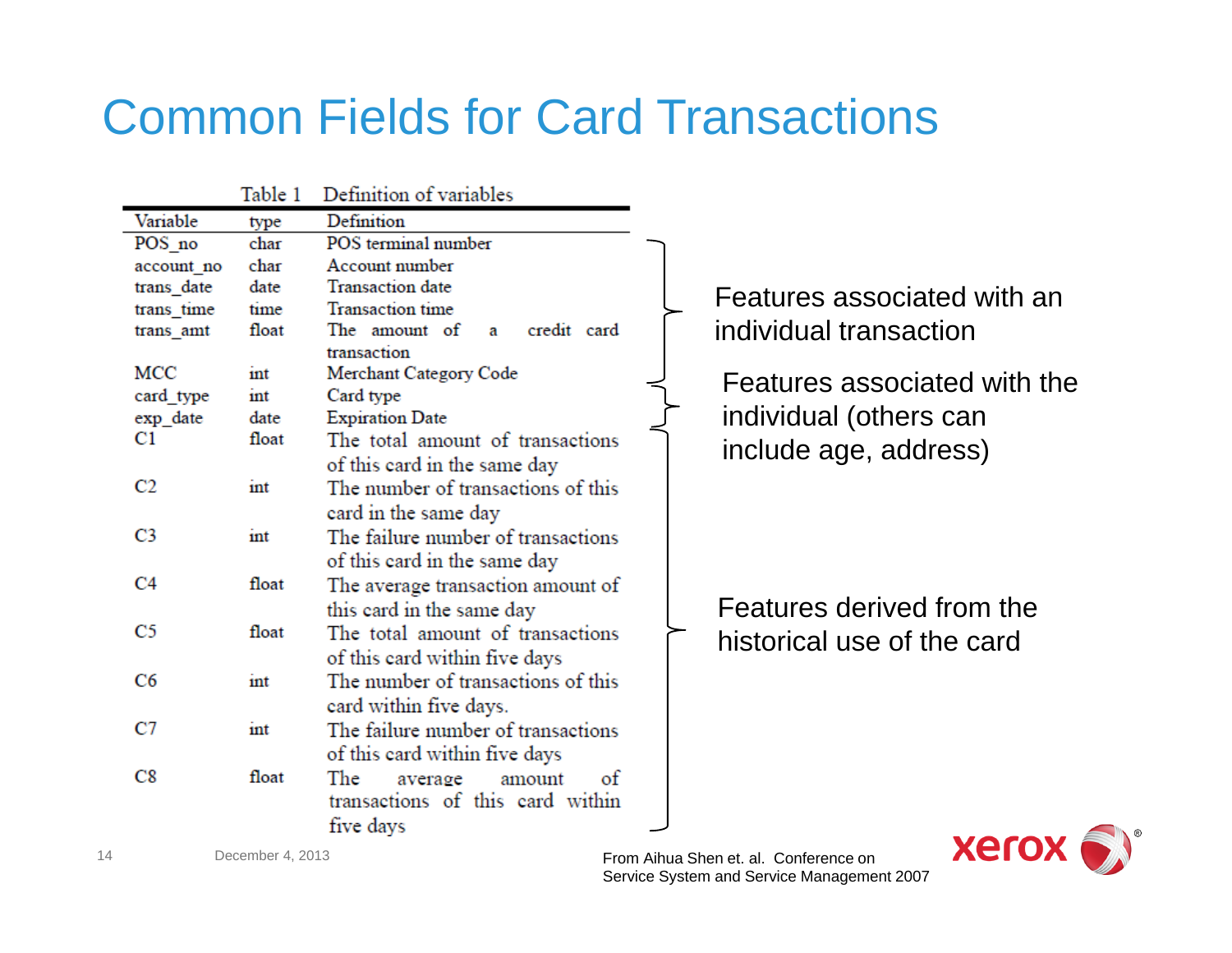# Common Fields for Card Transactions

|            | Table 1 | Definition of variables            |  |
|------------|---------|------------------------------------|--|
| Variable   | type    | Definition                         |  |
| POS no     | char    | POS terminal number                |  |
| account_no | char    | Account number                     |  |
| trans date | date    | <b>Transaction</b> date            |  |
| trans time | time    | <b>Transaction</b> time            |  |
| trans_amt  | float   | a credit card<br>The amount of     |  |
|            |         | transaction                        |  |
| MCC        | ınt     | Merchant Category Code             |  |
| card_type  | int     | Card type                          |  |
| exp_date   | date    | <b>Expiration Date</b>             |  |
| C1         | float   | The total amount of transactions   |  |
|            |         | of this card in the same day       |  |
| C2         | int     | The number of transactions of this |  |
|            |         | card in the same day               |  |
| C3         | int     | The failure number of transactions |  |
|            |         | of this card in the same day       |  |
| C4         | float   | The average transaction amount of  |  |
|            |         | this card in the same day          |  |
| C5         | float   | The total amount of transactions   |  |
|            |         | of this card within five days      |  |
| C6         | int     | The number of transactions of this |  |
|            |         |                                    |  |
| C7         |         | card within five days.             |  |
|            | ınt     | The failure number of transactions |  |
|            |         | of this card within five days      |  |
| C8         | float   | The<br>of<br>average<br>amount     |  |
|            |         | transactions of this card within   |  |
|            |         | five days                          |  |

Features associated with an individual transaction

Features associated with the individual (others can include age, address)

Features derived from the historical use of the card



14

December 4, 2013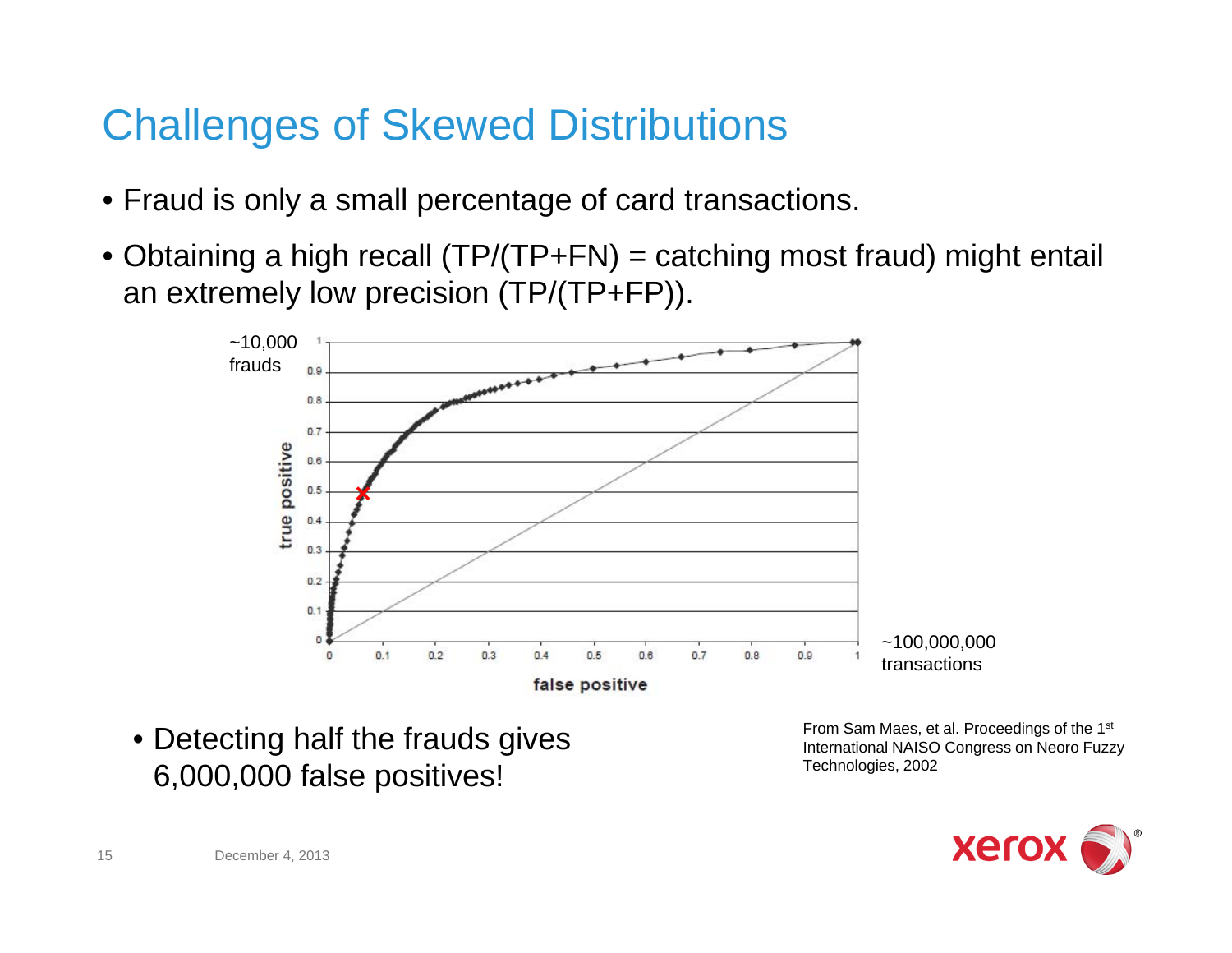### Challenges of Skewed Distributions

- Fraud is only a small percentage of card transactions.
- Obtaining a high recall (TP/(TP+FN) = catching most fraud) might entail an extremely low precision (TP/(TP+FP)).



• Detecting half the frauds gives 6,000,000 false positives!

From Sam Maes, et al. Proceedings of the 1st International NAISO Congress on Neoro Fuzzy Technologies, 2002

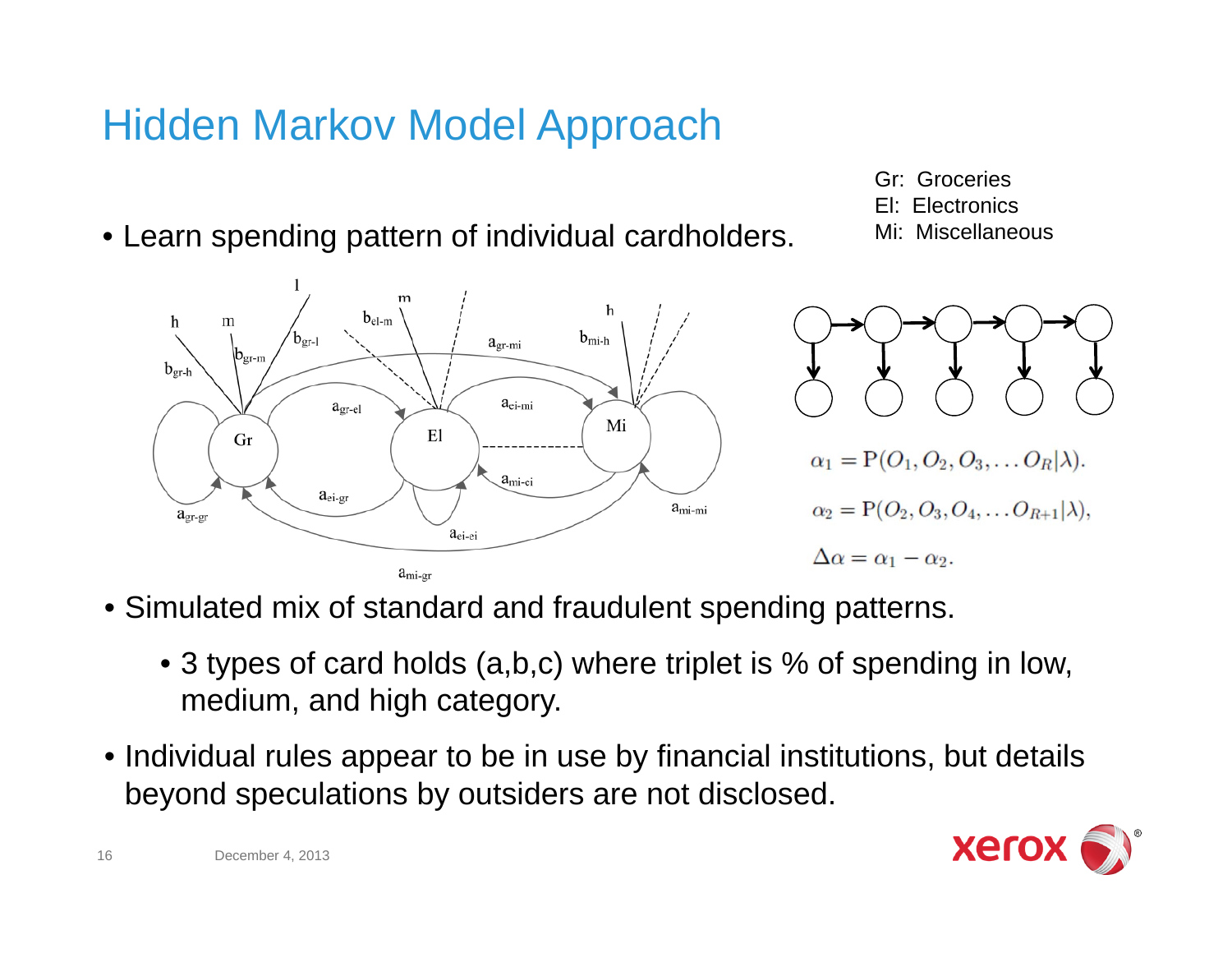### Hidden Markov Model Approach

- Learn spending pattern of individual cardholders.
	- $b_{el-m}$ h m  $b_{gr-l}$  $b_{\text{mi-h}}$  $a_{\text{gr-mi}}$  $\mathsf{b}_{\text{gr-m}}$  $b_{gr-h}$  $a_{ei-mi}$  $a<sub>gr-el</sub>$ Mi El Gr  $\alpha_1 = P(O_1, O_2, O_3, \ldots, O_R|\lambda).$  $a<sub>miei</sub>$  $a_{ei-gr}$  $\alpha_2 = P(O_2, O_3, O_4, \ldots O_{R+1}|\lambda),$  $a_{\text{mi-mi}}$  $a_{gr-gr}$  $a_{ei-ei}$  $\Delta \alpha = \alpha_1 - \alpha_2.$  $a<sub>mi-gr</sub>$
- Simulated mix of standard and fraudulent spending patterns.
	- 3 types of card holds (a,b,c) where triplet is % of spending in low, medium, and high category.
- Individual rules appear to be in use by financial institutions, but details beyond speculations by outsiders are not disclosed.

Gr: GroceriesEl: Electronics

Mi: Miscellaneous